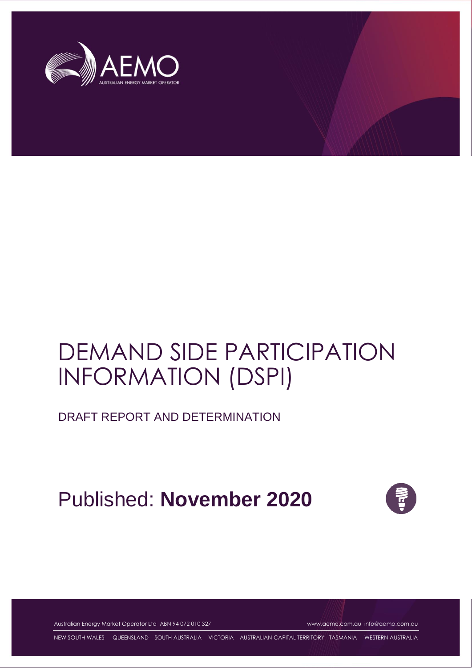

# DEMAND SIDE PARTICIPATION INFORMATION (DSPI)

DRAFT REPORT AND DETERMINATION

Published: **November 2020**



Australian Energy Market Operator Ltd ABN 94 072 010 327 [www.aemo.com.au](http://www.aemo.com.au/) [info@aemo.com.au](mailto:info@aemo.com.au)

NEW SOUTH WALES QUEENSLAND SOUTH AUSTRALIA VICTORIA AUSTRALIAN CAPITAL TERRITORY TASMANIA WESTERN AUSTRALIA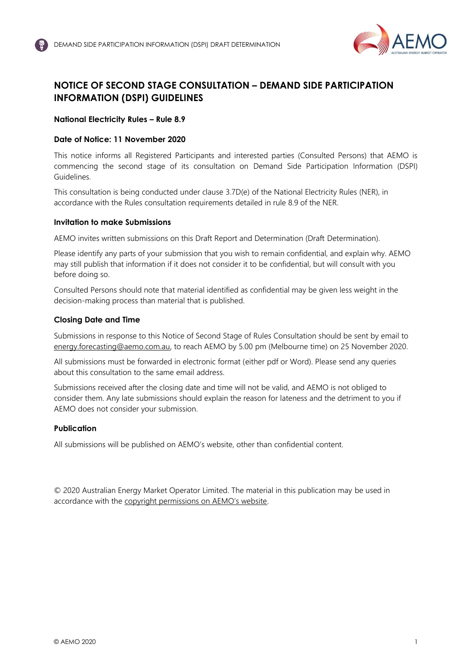

# <span id="page-1-0"></span>**NOTICE OF SECOND STAGE CONSULTATION – DEMAND SIDE PARTICIPATION INFORMATION (DSPI) GUIDELINES**

## **National Electricity Rules – Rule 8.9**

## **Date of Notice: 11 November 2020**

This notice informs all Registered Participants and interested parties (Consulted Persons) that AEMO is commencing the second stage of its consultation on Demand Side Participation Information (DSPI) Guidelines.

This consultation is being conducted under clause 3.7D(e) of the National Electricity Rules (NER), in accordance with the Rules consultation requirements detailed in rule 8.9 of the NER.

#### **Invitation to make Submissions**

AEMO invites written submissions on this Draft Report and Determination (Draft Determination).

Please identify any parts of your submission that you wish to remain confidential, and explain why. AEMO may still publish that information if it does not consider it to be confidential, but will consult with you before doing so.

Consulted Persons should note that material identified as confidential may be given less weight in the decision-making process than material that is published.

#### **Closing Date and Time**

Submissions in response to this Notice of Second Stage of Rules Consultation should be sent by email to [energy.forecasting@aemo.com.au,](mailto:energy.forecasting@aemo.com.au) to reach AEMO by 5.00 pm (Melbourne time) on 25 November 2020.

All submissions must be forwarded in electronic format (either pdf or Word). Please send any queries about this consultation to the same email address.

Submissions received after the closing date and time will not be valid, and AEMO is not obliged to consider them. Any late submissions should explain the reason for lateness and the detriment to you if AEMO does not consider your submission.

#### **Publication**

All submissions will be published on AEMO's website, other than confidential content.

© 2020 Australian Energy Market Operator Limited. The material in this publication may be used in accordance with the [copyright permissions on AEMO's website](http://aemo.com.au/Privacy_and_Legal_Notices/Copyright_Permissions_Notice).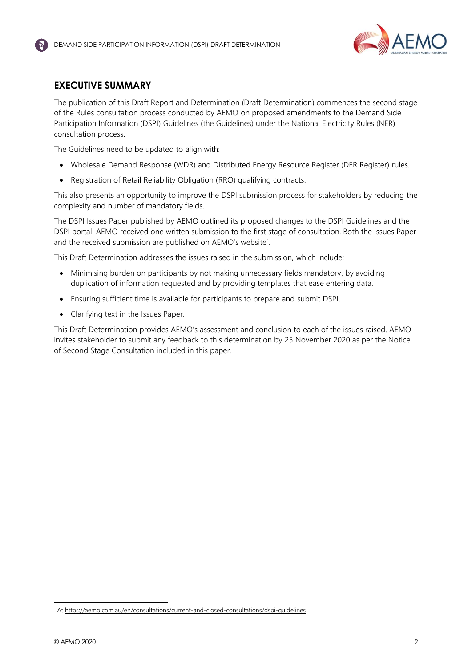

# <span id="page-2-0"></span>**EXECUTIVE SUMMARY**

The publication of this Draft Report and Determination (Draft Determination) commences the second stage of the Rules consultation process conducted by AEMO on proposed amendments to the Demand Side Participation Information (DSPI) Guidelines (the Guidelines) under the National Electricity Rules (NER) consultation process.

The Guidelines need to be updated to align with:

- Wholesale Demand Response (WDR) and Distributed Energy Resource Register (DER Register) rules.
- Registration of Retail Reliability Obligation (RRO) qualifying contracts.

This also presents an opportunity to improve the DSPI submission process for stakeholders by reducing the complexity and number of mandatory fields.

The DSPI Issues Paper published by AEMO outlined its proposed changes to the DSPI Guidelines and the DSPI portal. AEMO received one written submission to the first stage of consultation. Both the Issues Paper and the received submission are published on AEMO's website<sup>1</sup>.

This Draft Determination addresses the issues raised in the submission, which include:

- Minimising burden on participants by not making unnecessary fields mandatory, by avoiding duplication of information requested and by providing templates that ease entering data.
- Ensuring sufficient time is available for participants to prepare and submit DSPI.
- Clarifying text in the Issues Paper.

This Draft Determination provides AEMO's assessment and conclusion to each of the issues raised. AEMO invites stakeholder to submit any feedback to this determination by 25 November 2020 as per the Notice of Second Stage Consultation included in this paper.

<sup>&</sup>lt;sup>1</sup> At https://aemo.com.au/en/consultations/current-and-closed-consultations/dspi-quidelines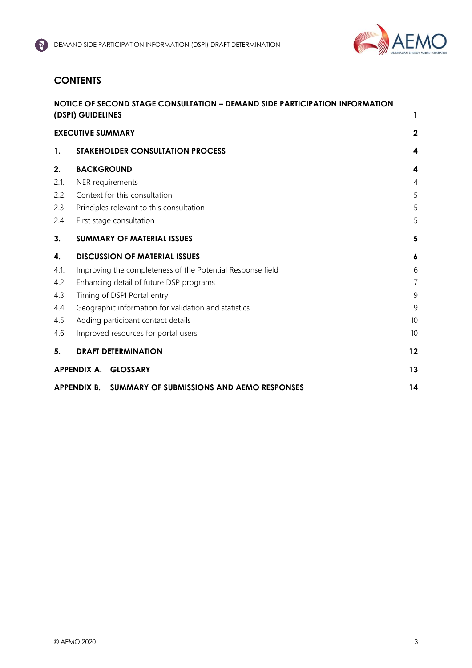

# **CONTENTS**

|      | NOTICE OF SECOND STAGE CONSULTATION - DEMAND SIDE PARTICIPATION INFORMATION<br>(DSPI) GUIDELINES | 1                |
|------|--------------------------------------------------------------------------------------------------|------------------|
|      | <b>EXECUTIVE SUMMARY</b>                                                                         | $\overline{2}$   |
| 1.   | <b>STAKEHOLDER CONSULTATION PROCESS</b>                                                          | 4                |
| 2.   | <b>BACKGROUND</b>                                                                                | 4                |
| 2.1. | NER requirements                                                                                 | $\overline{4}$   |
| 2.2. | Context for this consultation                                                                    | 5                |
| 2.3. | Principles relevant to this consultation                                                         | 5                |
| 2.4. | First stage consultation                                                                         | 5                |
| 3.   | <b>SUMMARY OF MATERIAL ISSUES</b>                                                                | 5                |
| 4.   | <b>DISCUSSION OF MATERIAL ISSUES</b>                                                             | $\boldsymbol{6}$ |
| 4.1. | Improving the completeness of the Potential Response field                                       | 6                |
| 4.2. | Enhancing detail of future DSP programs                                                          | 7                |
| 4.3. | Timing of DSPI Portal entry                                                                      | 9                |
| 4.4. | Geographic information for validation and statistics                                             | 9                |
| 4.5. | Adding participant contact details                                                               | 10               |
| 4.6. | Improved resources for portal users                                                              | 10               |
| 5.   | <b>DRAFT DETERMINATION</b>                                                                       | 12               |
|      | APPENDIX A. GLOSSARY                                                                             | 13               |
|      | APPENDIX B. SUMMARY OF SUBMISSIONS AND AEMO RESPONSES                                            | 14               |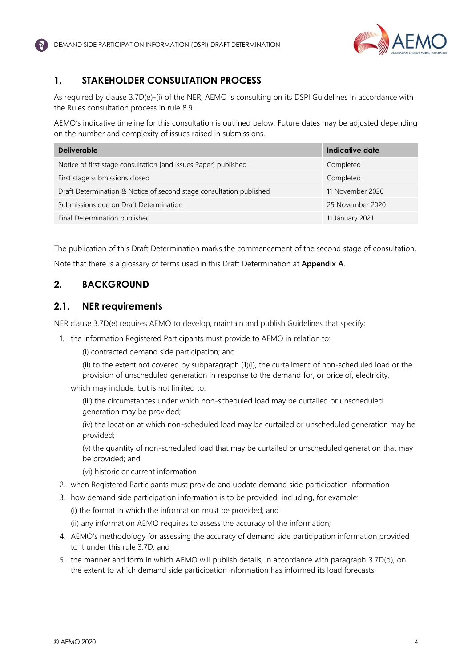

# <span id="page-4-0"></span>**1. STAKEHOLDER CONSULTATION PROCESS**

As required by clause 3.7D(e)-(i) of the NER, AEMO is consulting on its DSPI Guidelines in accordance with the Rules consultation process in rule 8.9.

AEMO's indicative timeline for this consultation is outlined below. Future dates may be adjusted depending on the number and complexity of issues raised in submissions.

| <b>Deliverable</b>                                                  | Indicative date  |
|---------------------------------------------------------------------|------------------|
| Notice of first stage consultation [and Issues Paper] published     | Completed        |
| First stage submissions closed                                      | Completed        |
| Draft Determination & Notice of second stage consultation published | 11 November 2020 |
| Submissions due on Draft Determination                              | 25 November 2020 |
| Final Determination published                                       | 11 January 2021  |

The publication of this Draft Determination marks the commencement of the second stage of consultation. Note that there is a glossary of terms used in this Draft Determination at **Appendix A**.

# <span id="page-4-1"></span>**2. BACKGROUND**

## <span id="page-4-2"></span>**2.1. NER requirements**

NER clause 3.7D(e) requires AEMO to develop, maintain and publish Guidelines that specify:

1. the information Registered Participants must provide to AEMO in relation to:

(i) contracted demand side participation; and

(ii) to the extent not covered by subparagraph (1)(i), the curtailment of non-scheduled load or the provision of unscheduled generation in response to the demand for, or price of, electricity,

which may include, but is not limited to:

(iii) the circumstances under which non-scheduled load may be curtailed or unscheduled generation may be provided;

(iv) the location at which non-scheduled load may be curtailed or unscheduled generation may be provided;

(v) the quantity of non-scheduled load that may be curtailed or unscheduled generation that may be provided; and

(vi) historic or current information

- 2. when Registered Participants must provide and update demand side participation information
- 3. how demand side participation information is to be provided, including, for example:

(i) the format in which the information must be provided; and

(ii) any information AEMO requires to assess the accuracy of the information;

- 4. AEMO's methodology for assessing the accuracy of demand side participation information provided to it under this rule 3.7D; and
- 5. the manner and form in which AEMO will publish details, in accordance with paragraph 3.7D(d), on the extent to which demand side participation information has informed its load forecasts.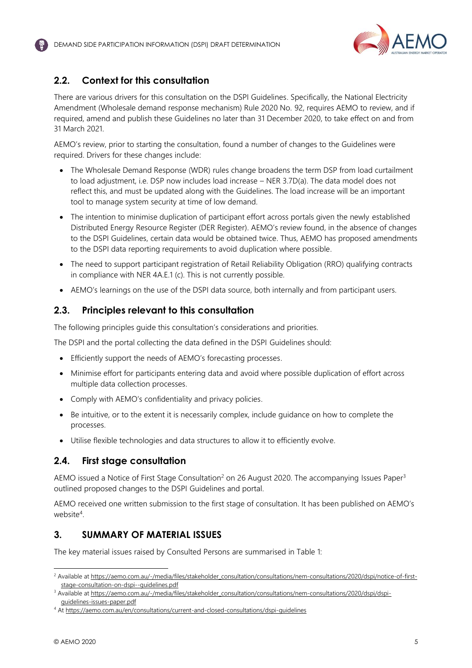

# <span id="page-5-0"></span>**2.2. Context for this consultation**

There are various drivers for this consultation on the DSPI Guidelines. Specifically, the National Electricity Amendment (Wholesale demand response mechanism) Rule 2020 No. 92, requires AEMO to review, and if required, amend and publish these Guidelines no later than 31 December 2020, to take effect on and from 31 March 2021.

AEMO's review, prior to starting the consultation, found a number of changes to the Guidelines were required. Drivers for these changes include:

- The Wholesale Demand Response (WDR) rules change broadens the term DSP from load curtailment to load adjustment, i.e. DSP now includes load increase – NER 3.7D(a). The data model does not reflect this, and must be updated along with the Guidelines. The load increase will be an important tool to manage system security at time of low demand.
- The intention to minimise duplication of participant effort across portals given the newly established Distributed Energy Resource Register (DER Register). AEMO's review found, in the absence of changes to the DSPI Guidelines, certain data would be obtained twice. Thus, AEMO has proposed amendments to the DSPI data reporting requirements to avoid duplication where possible.
- The need to support participant registration of Retail Reliability Obligation (RRO) qualifying contracts in compliance with NER 4A.E.1 (c). This is not currently possible.
- AEMO's learnings on the use of the DSPI data source, both internally and from participant users.

## <span id="page-5-1"></span>**2.3. Principles relevant to this consultation**

The following principles guide this consultation's considerations and priorities.

The DSPI and the portal collecting the data defined in the DSPI Guidelines should:

- Efficiently support the needs of AEMO's forecasting processes.
- Minimise effort for participants entering data and avoid where possible duplication of effort across multiple data collection processes.
- Comply with AEMO's confidentiality and privacy policies.
- Be intuitive, or to the extent it is necessarily complex, include guidance on how to complete the processes.
- Utilise flexible technologies and data structures to allow it to efficiently evolve.

## <span id="page-5-2"></span>**2.4. First stage consultation**

AEMO issued a Notice of First Stage Consultation<sup>2</sup> on 26 August 2020. The accompanying Issues Paper<sup>3</sup> outlined proposed changes to the DSPI Guidelines and portal.

AEMO received one written submission to the first stage of consultation. It has been published on AEMO's website<sup>4</sup>.

## <span id="page-5-3"></span>**3. SUMMARY OF MATERIAL ISSUES**

The key material issues raised by Consulted Persons are summarised in [Table 1:](#page-6-2)

<sup>&</sup>lt;sup>2</sup> Available a[t https://aemo.com.au/-/media/files/stakeholder\\_consultation/consultations/nem-consultations/2020/dspi/notice-of-first](https://aemo.com.au/-/media/files/stakeholder_consultation/consultations/nem-consultations/2020/dspi/notice-of-first-stage-consultation-on-dspi--guidelines.pdf?la=en)[stage-consultation-on-dspi--guidelines.pdf](https://aemo.com.au/-/media/files/stakeholder_consultation/consultations/nem-consultations/2020/dspi/notice-of-first-stage-consultation-on-dspi--guidelines.pdf?la=en)

<sup>&</sup>lt;sup>3</sup> Available a[t https://aemo.com.au/-/media/files/stakeholder\\_consultation/consultations/nem-consultations/2020/dspi/dspi](https://aemo.com.au/-/media/files/stakeholder_consultation/consultations/nem-consultations/2020/dspi/dspi-guidelines-issues-paper.pdf?la=en)[guidelines-issues-paper.pdf](https://aemo.com.au/-/media/files/stakeholder_consultation/consultations/nem-consultations/2020/dspi/dspi-guidelines-issues-paper.pdf?la=en)

<sup>4</sup> At<https://aemo.com.au/en/consultations/current-and-closed-consultations/dspi-guidelines>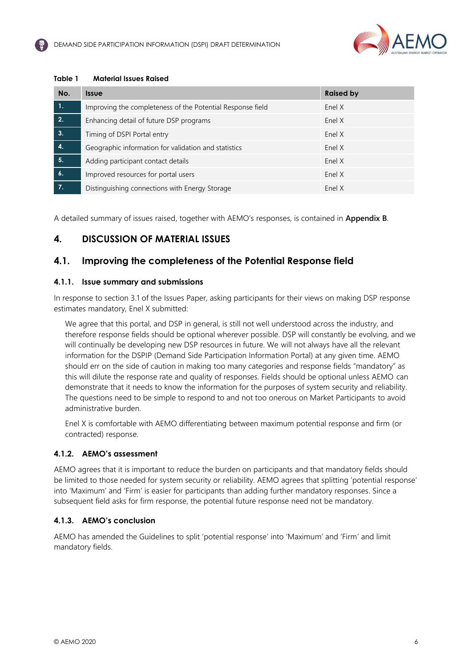

#### <span id="page-6-3"></span><span id="page-6-2"></span>**Table 1 Material Issues Raised**

| No.                | <b>Issue</b>                                               | <b>Raised by</b> |
|--------------------|------------------------------------------------------------|------------------|
| $\mathbf{1}$ .     | Improving the completeness of the Potential Response field | Enel X           |
| 2.                 | Enhancing detail of future DSP programs                    | Enel X           |
| 3.                 | Timing of DSPI Portal entry                                | Enel X           |
| $\overline{4}$     | Geographic information for validation and statistics       | Enel X           |
| 5.                 | Adding participant contact details                         | Enel X           |
| $\boldsymbol{b}$ . | Improved resources for portal users                        | Enel X           |
|                    | Distinguishing connections with Energy Storage             | Enel X           |

A detailed summary of issues raised, together with AEMO's responses, is contained in **Appendix B**.

# <span id="page-6-0"></span>**4. DISCUSSION OF MATERIAL ISSUES**

# <span id="page-6-1"></span>**4.1. Improving the completeness of the Potential Response field**

#### **4.1.1. Issue summary and submissions**

In response to section 3.1 of the Issues Paper, asking participants for their views on making DSP response estimates mandatory, Enel X submitted:

We agree that this portal, and DSP in general, is still not well understood across the industry, and therefore response fields should be optional wherever possible. DSP will constantly be evolving, and we will continually be developing new DSP resources in future. We will not always have all the relevant information for the DSPIP (Demand Side Participation Information Portal) at any given time. AEMO should err on the side of caution in making too many categories and response fields "mandatory" as this will dilute the response rate and quality of responses. Fields should be optional unless AEMO can demonstrate that it needs to know the information for the purposes of system security and reliability. The questions need to be simple to respond to and not too onerous on Market Participants to avoid administrative burden.

Enel X is comfortable with AEMO differentiating between maximum potential response and firm (or contracted) response.

## **4.1.2. AEMO's assessment**

AEMO agrees that it is important to reduce the burden on participants and that mandatory fields should be limited to those needed for system security or reliability. AEMO agrees that splitting 'potential response' into 'Maximum' and 'Firm' is easier for participants than adding further mandatory responses. Since a subsequent field asks for firm response, the potential future response need not be mandatory.

## **4.1.3. AEMO's conclusion**

AEMO has amended the Guidelines to split 'potential response' into 'Maximum' and 'Firm' and limit mandatory fields.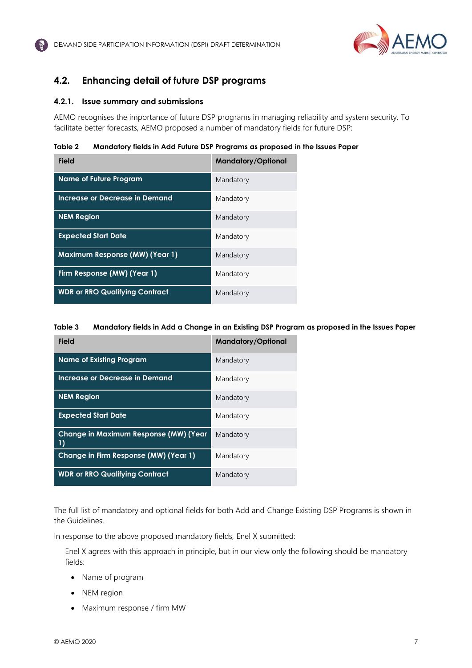

# <span id="page-7-1"></span><span id="page-7-0"></span>**4.2. Enhancing detail of future DSP programs**

#### **4.2.1. Issue summary and submissions**

AEMO recognises the importance of future DSP programs in managing reliability and system security. To facilitate better forecasts, AEMO proposed a number of mandatory fields for future DSP:

**Table 2 Mandatory fields in Add Future DSP Programs as proposed in the Issues Paper**

| <b>Field</b>                          | <b>Mandatory/Optional</b> |
|---------------------------------------|---------------------------|
| <b>Name of Future Program</b>         | Mandatory                 |
| Increase or Decrease in Demand        | Mandatory                 |
| <b>NEM Region</b>                     | Mandatory                 |
| <b>Expected Start Date</b>            | Mandatory                 |
| <b>Maximum Response (MW) (Year 1)</b> | Mandatory                 |
| Firm Response (MW) (Year 1)           | Mandatory                 |
| <b>WDR or RRO Qualifying Contract</b> | Mandatory                 |

#### **Table 3 Mandatory fields in Add a Change in an Existing DSP Program as proposed in the Issues Paper**

| <b>Field</b>                                       | <b>Mandatory/Optional</b> |
|----------------------------------------------------|---------------------------|
| <b>Name of Existing Program</b>                    | Mandatory                 |
| Increase or Decrease in Demand                     | Mandatory                 |
| <b>NEM Region</b>                                  | Mandatory                 |
| <b>Expected Start Date</b>                         | Mandatory                 |
| <b>Change in Maximum Response (MW) (Year</b><br>1) | Mandatory                 |
| Change in Firm Response (MW) (Year 1)              | Mandatory                 |
| <b>WDR or RRO Qualifying Contract</b>              | Mandatory                 |

The full list of mandatory and optional fields for both Add and Change Existing DSP Programs is shown in the Guidelines.

In response to the above proposed mandatory fields, Enel X submitted:

Enel X agrees with this approach in principle, but in our view only the following should be mandatory fields:

- Name of program
- NEM region
- Maximum response / firm MW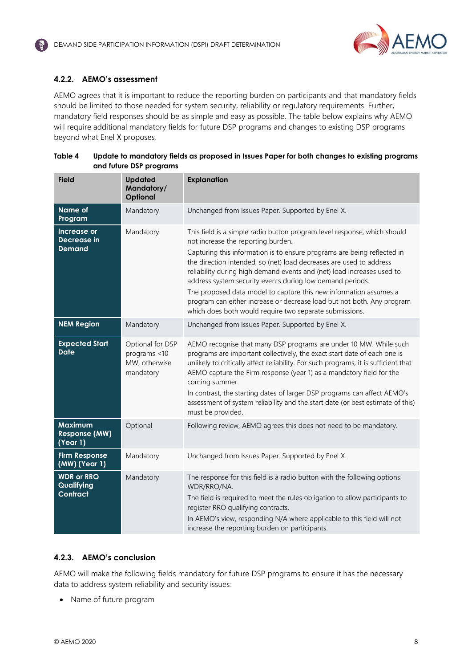

### **4.2.2. AEMO's assessment**

AEMO agrees that it is important to reduce the reporting burden on participants and that mandatory fields should be limited to those needed for system security, reliability or regulatory requirements. Further, mandatory field responses should be as simple and easy as possible. The table below explains why AEMO will require additional mandatory fields for future DSP programs and changes to existing DSP programs beyond what Enel X proposes.

| <b>Field</b>                                       | <b>Updated</b><br>Mandatory/<br>Optional                       | <b>Explanation</b>                                                                                                                                                                                                                                                                                                                                                                                                                                                                                                                                                                                                |
|----------------------------------------------------|----------------------------------------------------------------|-------------------------------------------------------------------------------------------------------------------------------------------------------------------------------------------------------------------------------------------------------------------------------------------------------------------------------------------------------------------------------------------------------------------------------------------------------------------------------------------------------------------------------------------------------------------------------------------------------------------|
| <b>Name of</b><br>Program                          | Mandatory                                                      | Unchanged from Issues Paper. Supported by Enel X.                                                                                                                                                                                                                                                                                                                                                                                                                                                                                                                                                                 |
| Increase or<br>Decrease in<br><b>Demand</b>        | Mandatory                                                      | This field is a simple radio button program level response, which should<br>not increase the reporting burden.<br>Capturing this information is to ensure programs are being reflected in<br>the direction intended, so (net) load decreases are used to address<br>reliability during high demand events and (net) load increases used to<br>address system security events during low demand periods.<br>The proposed data model to capture this new information assumes a<br>program can either increase or decrease load but not both. Any program<br>which does both would require two separate submissions. |
| <b>NEM Region</b>                                  | Mandatory                                                      | Unchanged from Issues Paper. Supported by Enel X.                                                                                                                                                                                                                                                                                                                                                                                                                                                                                                                                                                 |
| <b>Expected Start</b><br><b>Date</b>               | Optional for DSP<br>programs <10<br>MW, otherwise<br>mandatory | AEMO recognise that many DSP programs are under 10 MW. While such<br>programs are important collectively, the exact start date of each one is<br>unlikely to critically affect reliability. For such programs, it is sufficient that<br>AEMO capture the Firm response (year 1) as a mandatory field for the<br>coming summer.<br>In contrast, the starting dates of larger DSP programs can affect AEMO's<br>assessment of system reliability and the start date (or best estimate of this)<br>must be provided.                                                                                                 |
| <b>Maximum</b><br><b>Response (MW)</b><br>(Year 1) | Optional                                                       | Following review, AEMO agrees this does not need to be mandatory.                                                                                                                                                                                                                                                                                                                                                                                                                                                                                                                                                 |
| <b>Firm Response</b><br>(MW) (Year 1)              | Mandatory                                                      | Unchanged from Issues Paper. Supported by Enel X.                                                                                                                                                                                                                                                                                                                                                                                                                                                                                                                                                                 |
| <b>WDR or RRO</b><br>Qualifying<br>Contract        | Mandatory                                                      | The response for this field is a radio button with the following options:<br>WDR/RRO/NA.<br>The field is required to meet the rules obligation to allow participants to<br>register RRO qualifying contracts.<br>In AEMO's view, responding N/A where applicable to this field will not<br>increase the reporting burden on participants.                                                                                                                                                                                                                                                                         |

#### **Table 4 Update to mandatory fields as proposed in Issues Paper for both changes to existing programs and future DSP programs**

#### **4.2.3. AEMO's conclusion**

AEMO will make the following fields mandatory for future DSP programs to ensure it has the necessary data to address system reliability and security issues:

• Name of future program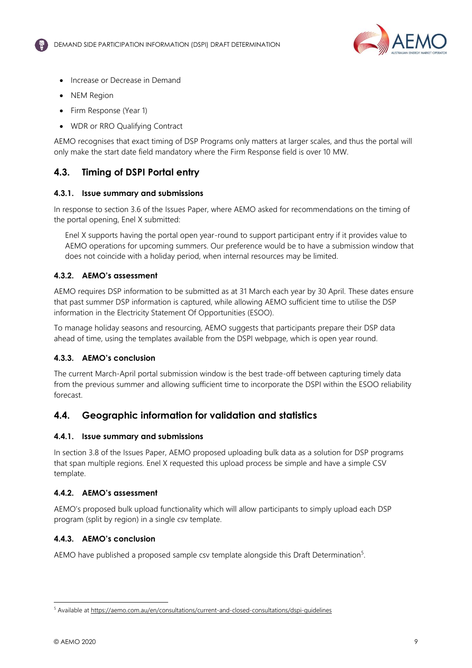

- <span id="page-9-2"></span>• Increase or Decrease in Demand
- NEM Region
- Firm Response (Year 1)
- WDR or RRO Qualifying Contract

AEMO recognises that exact timing of DSP Programs only matters at larger scales, and thus the portal will only make the start date field mandatory where the Firm Response field is over 10 MW.

## <span id="page-9-0"></span>**4.3. Timing of DSPI Portal entry**

#### **4.3.1. Issue summary and submissions**

<span id="page-9-3"></span>In response to section 3.6 of the Issues Paper, where AEMO asked for recommendations on the timing of the portal opening, Enel X submitted:

Enel X supports having the portal open year-round to support participant entry if it provides value to AEMO operations for upcoming summers. Our preference would be to have a submission window that does not coincide with a holiday period, when internal resources may be limited.

#### **4.3.2. AEMO's assessment**

AEMO requires DSP information to be submitted as at 31 March each year by 30 April. These dates ensure that past summer DSP information is captured, while allowing AEMO sufficient time to utilise the DSP information in the Electricity Statement Of Opportunities (ESOO).

To manage holiday seasons and resourcing, AEMO suggests that participants prepare their DSP data ahead of time, using the templates available from the DSPI webpage, which is open year round.

#### **4.3.3. AEMO's conclusion**

The current March-April portal submission window is the best trade-off between capturing timely data from the previous summer and allowing sufficient time to incorporate the DSPI within the ESOO reliability forecast.

## <span id="page-9-1"></span>**4.4. Geographic information for validation and statistics**

#### **4.4.1. Issue summary and submissions**

In section 3.8 of the Issues Paper, AEMO proposed uploading bulk data as a solution for DSP programs that span multiple regions. Enel X requested this upload process be simple and have a simple CSV template.

## **4.4.2. AEMO's assessment**

AEMO's proposed bulk upload functionality which will allow participants to simply upload each DSP program (split by region) in a single csv template.

#### **4.4.3. AEMO's conclusion**

AEMO have published a proposed sample csv template alongside this Draft Determination<sup>5</sup>.

<sup>5</sup> Available a[t https://aemo.com.au/en/consultations/current-and-closed-consultations/dspi-guidelines](https://aemo.com.au/en/consultations/current-and-closed-consultations/dspi-guidelines)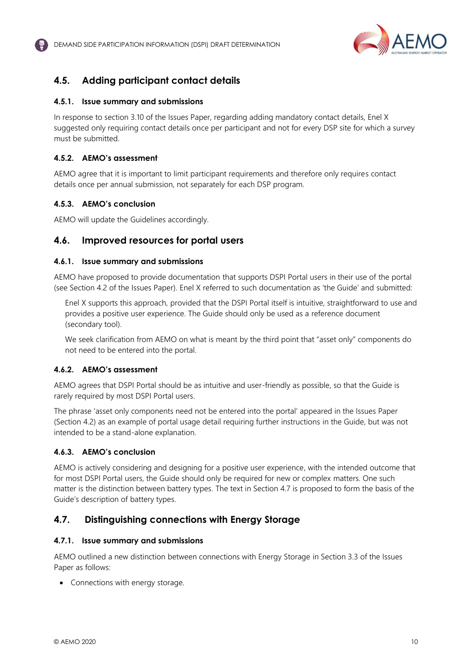

# <span id="page-10-3"></span><span id="page-10-2"></span><span id="page-10-0"></span>**4.5. Adding participant contact details**

#### **4.5.1. Issue summary and submissions**

In response to section 3.10 of the Issues Paper, regarding adding mandatory contact details, Enel X suggested only requiring contact details once per participant and not for every DSP site for which a survey must be submitted.

### **4.5.2. AEMO's assessment**

AEMO agree that it is important to limit participant requirements and therefore only requires contact details once per annual submission, not separately for each DSP program.

### **4.5.3. AEMO's conclusion**

AEMO will update the Guidelines accordingly.

## <span id="page-10-1"></span>**4.6. Improved resources for portal users**

#### **4.6.1. Issue summary and submissions**

AEMO have proposed to provide documentation that supports DSPI Portal users in their use of the portal (see Section 4.2 of the Issues Paper). Enel X referred to such documentation as 'the Guide' and submitted:

<span id="page-10-4"></span>Enel X supports this approach, provided that the DSPI Portal itself is intuitive, straightforward to use and provides a positive user experience. The Guide should only be used as a reference document (secondary tool).

We seek clarification from AEMO on what is meant by the third point that "asset only" components do not need to be entered into the portal.

## **4.6.2. AEMO's assessment**

AEMO agrees that DSPI Portal should be as intuitive and user-friendly as possible, so that the Guide is rarely required by most DSPI Portal users.

The phrase 'asset only components need not be entered into the portal' appeared in the Issues Paper (Section 4.2) as an example of portal usage detail requiring further instructions in the Guide, but was not intended to be a stand-alone explanation.

## **4.6.3. AEMO's conclusion**

AEMO is actively considering and designing for a positive user experience, with the intended outcome that for most DSPI Portal users, the Guide should only be required for new or complex matters. One such matter is the distinction between battery types. The text in Section 4.7 is proposed to form the basis of the Guide's description of battery types.

## **4.7. Distinguishing connections with Energy Storage**

#### **4.7.1. Issue summary and submissions**

AEMO outlined a new distinction between connections with Energy Storage in Section 3.3 of the Issues Paper as follows:

• Connections with energy storage.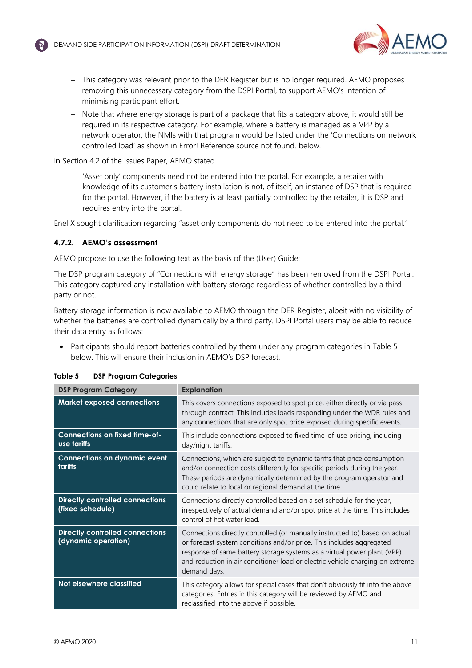

- − This category was relevant prior to the DER Register but is no longer required. AEMO proposes removing this unnecessary category from the DSPI Portal, to support AEMO's intention of minimising participant effort.
- − Note that where energy storage is part of a package that fits a category above, it would still be required in its respective category. For example, where a battery is managed as a VPP by a network operator, the NMIs with that program would be listed under the 'Connections on network controlled load' as shown in Error! Reference source not found. below.

In Section 4.2 of the Issues Paper, AEMO stated

'Asset only' components need not be entered into the portal. For example, a retailer with knowledge of its customer's battery installation is not, of itself, an instance of DSP that is required for the portal. However, if the battery is at least partially controlled by the retailer, it is DSP and requires entry into the portal.

Enel X sought clarification regarding "asset only components do not need to be entered into the portal."

#### **4.7.2. AEMO's assessment**

AEMO propose to use the following text as the basis of the (User) Guide:

The DSP program category of "Connections with energy storage" has been removed from the DSPI Portal. This category captured any installation with battery storage regardless of whether controlled by a third party or not.

Battery storage information is now available to AEMO through the DER Register, albeit with no visibility of whether the batteries are controlled dynamically by a third party. DSPI Portal users may be able to reduce their data entry as follows:

• Participants should report batteries controlled by them under any program categories in [Table 5](#page-11-0) below. This will ensure their inclusion in AEMO's DSP forecast.

| <b>DSP Program Category</b>                                   | <b>Explanation</b>                                                                                                                                                                                                                                                                                                              |
|---------------------------------------------------------------|---------------------------------------------------------------------------------------------------------------------------------------------------------------------------------------------------------------------------------------------------------------------------------------------------------------------------------|
| <b>Market exposed connections</b>                             | This covers connections exposed to spot price, either directly or via pass-<br>through contract. This includes loads responding under the WDR rules and<br>any connections that are only spot price exposed during specific events.                                                                                             |
| <b>Connections on fixed time-of-</b><br>use tariffs           | This include connections exposed to fixed time-of-use pricing, including<br>day/night tariffs.                                                                                                                                                                                                                                  |
| <b>Connections on dynamic event</b><br><b>tariffs</b>         | Connections, which are subject to dynamic tariffs that price consumption<br>and/or connection costs differently for specific periods during the year.<br>These periods are dynamically determined by the program operator and<br>could relate to local or regional demand at the time.                                          |
| <b>Directly controlled connections</b><br>(fixed schedule)    | Connections directly controlled based on a set schedule for the year,<br>irrespectively of actual demand and/or spot price at the time. This includes<br>control of hot water load.                                                                                                                                             |
| <b>Directly controlled connections</b><br>(dynamic operation) | Connections directly controlled (or manually instructed to) based on actual<br>or forecast system conditions and/or price. This includes aggregated<br>response of same battery storage systems as a virtual power plant (VPP)<br>and reduction in air conditioner load or electric vehicle charging on extreme<br>demand days. |
| Not elsewhere classified                                      | This category allows for special cases that don't obviously fit into the above<br>categories. Entries in this category will be reviewed by AEMO and<br>reclassified into the above if possible.                                                                                                                                 |

#### <span id="page-11-0"></span>**Table 5 DSP Program Categories**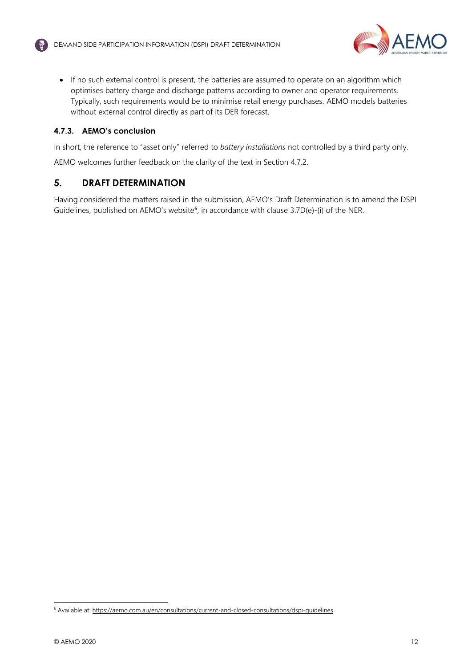

• If no such external control is present, the batteries are assumed to operate on an algorithm which optimises battery charge and discharge patterns according to owner and operator requirements. Typically, such requirements would be to minimise retail energy purchases. AEMO models batteries without external control directly as part of its DER forecast.

## **4.7.3. AEMO's conclusion**

In short, the reference to "asset only" referred to *battery installations* not controlled by a third party only.

AEMO welcomes further feedback on the clarity of the text in Section 4.7.2.

## <span id="page-12-0"></span>**5. DRAFT DETERMINATION**

Having considered the matters raised in the submission, AEMO's Draft Determination is to amend the DSPI Guidelines, published on AEMO's website<sup>6</sup>, in accordance with clause 3.7D(e)-(i) of the NER.

<sup>6</sup> Available at[: https://aemo.com.au/en/consultations/current-and-closed-consultations/dspi-guidelines](https://aemo.com.au/en/consultations/current-and-closed-consultations/dspi-guidelines)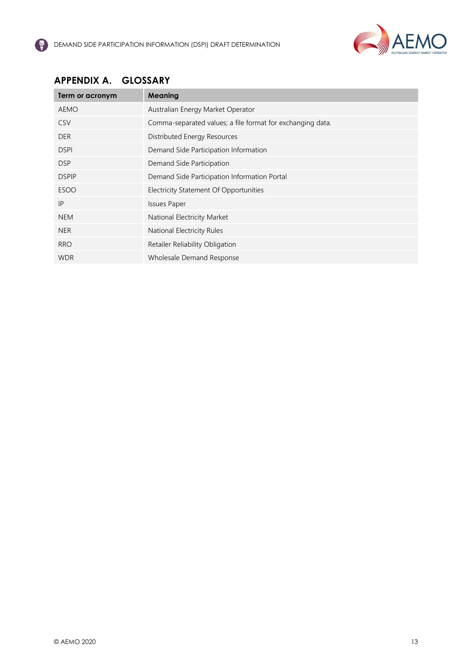

# <span id="page-13-0"></span>**APPENDIX A. GLOSSARY**

| Term or acronym | <b>Meaning</b>                                             |
|-----------------|------------------------------------------------------------|
| AEMO            | Australian Energy Market Operator                          |
| <b>CSV</b>      | Comma-separated values; a file format for exchanging data. |
| <b>DER</b>      | Distributed Energy Resources                               |
| <b>DSPI</b>     | Demand Side Participation Information                      |
| <b>DSP</b>      | Demand Side Participation                                  |
| <b>DSPIP</b>    | Demand Side Participation Information Portal               |
| <b>ESOO</b>     | Electricity Statement Of Opportunities                     |
| IP              | <b>Issues Paper</b>                                        |
| <b>NEM</b>      | National Electricity Market                                |
| <b>NER</b>      | National Electricity Rules                                 |
| <b>RRO</b>      | Retailer Reliability Obligation                            |
| <b>WDR</b>      | Wholesale Demand Response                                  |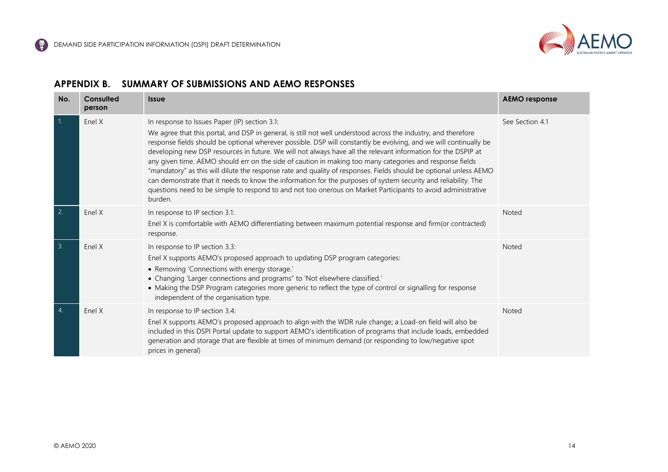

## **APPENDIX B. SUMMARY OF SUBMISSIONS AND AEMO RESPONSES**

<span id="page-14-0"></span>

| No.              | Consulted<br>person | <b>Issue</b>                                                                                                                                                                                                                                                                                                                                                                                                                                                                                                                                                                                                                                                                                                                                                                                                                                                                        | <b>AEMO</b> response |
|------------------|---------------------|-------------------------------------------------------------------------------------------------------------------------------------------------------------------------------------------------------------------------------------------------------------------------------------------------------------------------------------------------------------------------------------------------------------------------------------------------------------------------------------------------------------------------------------------------------------------------------------------------------------------------------------------------------------------------------------------------------------------------------------------------------------------------------------------------------------------------------------------------------------------------------------|----------------------|
| $\overline{1}$ . | Enel X              | In response to Issues Paper (IP) section 3.1:<br>We agree that this portal, and DSP in general, is still not well understood across the industry, and therefore<br>response fields should be optional wherever possible. DSP will constantly be evolving, and we will continually be<br>developing new DSP resources in future. We will not always have all the relevant information for the DSPIP at<br>any given time. AEMO should err on the side of caution in making too many categories and response fields<br>"mandatory" as this will dilute the response rate and quality of responses. Fields should be optional unless AEMO<br>can demonstrate that it needs to know the information for the purposes of system security and reliability. The<br>questions need to be simple to respond to and not too onerous on Market Participants to avoid administrative<br>burden. | See Section 4.1      |
| $\overline{2}$   | Enel X              | In response to IP section 3.1:<br>Enel X is comfortable with AEMO differentiating between maximum potential response and firm(or contracted)<br>response.                                                                                                                                                                                                                                                                                                                                                                                                                                                                                                                                                                                                                                                                                                                           | Noted                |
| 3.               | Enel X              | In response to IP section 3.3:<br>Enel X supports AEMO's proposed approach to updating DSP program categories:<br>• Removing 'Connections with energy storage.'<br>• Changing 'Larger connections and programs" to 'Not elsewhere classified.'<br>• Making the DSP Program categories more generic to reflect the type of control or signalling for response<br>independent of the organisation type.                                                                                                                                                                                                                                                                                                                                                                                                                                                                               | Noted                |
| $\overline{4}$ . | Enel X              | In response to IP section 3.4:<br>Enel X supports AEMO's proposed approach to align with the WDR rule change; a Load-on field will also be<br>included in this DSPI Portal update to support AEMO's identification of programs that include loads, embedded<br>generation and storage that are flexible at times of minimum demand (or responding to low/negative spot<br>prices in general)                                                                                                                                                                                                                                                                                                                                                                                                                                                                                        | Noted                |

€